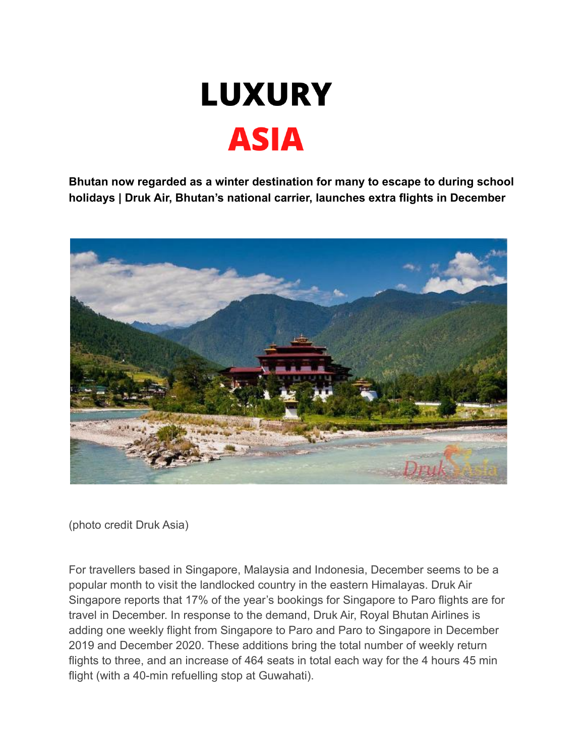

**Bhutan now regarded as a winter destination for many to escape to during school holidays | Druk Air, Bhutan's national carrier, launches extra flights in December**



(photo credit Druk Asia)

For travellers based in Singapore, Malaysia and Indonesia, December seems to be a popular month to visit the landlocked country in the eastern Himalayas. Druk Air Singapore reports that 17% of the year's bookings for Singapore to Paro flights are for travel in December. In response to the demand, Druk Air, Royal Bhutan Airlines is adding one weekly flight from Singapore to Paro and Paro to Singapore in December 2019 and December 2020. These additions bring the total number of weekly return flights to three, and an increase of 464 seats in total each way for the 4 hours 45 min flight (with a 40-min refuelling stop at Guwahati).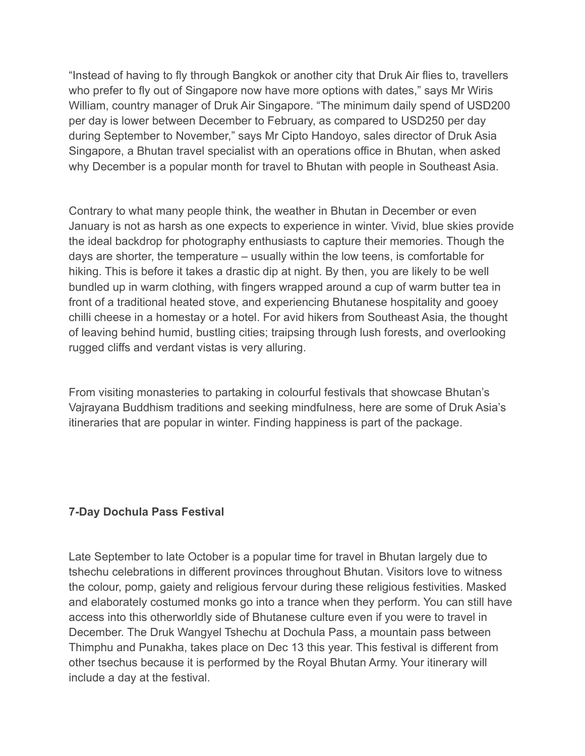"Instead of having to fly through Bangkok or another city that Druk Air flies to, travellers who prefer to fly out of Singapore now have more options with dates," says Mr Wiris William, country manager of Druk Air Singapore. "The minimum daily spend of USD200 per day is lower between December to February, as compared to USD250 per day during September to November," says Mr Cipto Handoyo, sales director of Druk Asia Singapore, a Bhutan travel specialist with an operations office in Bhutan, when asked why December is a popular month for travel to Bhutan with people in Southeast Asia.

Contrary to what many people think, the weather in Bhutan in December or even January is not as harsh as one expects to experience in winter. Vivid, blue skies provide the ideal backdrop for photography enthusiasts to capture their memories. Though the days are shorter, the temperature – usually within the low teens, is comfortable for hiking. This is before it takes a drastic dip at night. By then, you are likely to be well bundled up in warm clothing, with fingers wrapped around a cup of warm butter tea in front of a traditional heated stove, and experiencing Bhutanese hospitality and gooey chilli cheese in a homestay or a hotel. For avid hikers from Southeast Asia, the thought of leaving behind humid, bustling cities; traipsing through lush forests, and overlooking rugged cliffs and verdant vistas is very alluring.

From visiting monasteries to partaking in colourful festivals that showcase Bhutan's Vajrayana Buddhism traditions and seeking mindfulness, here are some of Druk Asia's itineraries that are popular in winter. Finding happiness is part of the package.

#### **7-Day Dochula Pass Festival**

Late September to late October is a popular time for travel in Bhutan largely due to tshechu celebrations in different provinces throughout Bhutan. Visitors love to witness the colour, pomp, gaiety and religious fervour during these religious festivities. Masked and elaborately costumed monks go into a trance when they perform. You can still have access into this otherworldly side of Bhutanese culture even if you were to travel in December. The Druk Wangyel Tshechu at Dochula Pass, a mountain pass between Thimphu and Punakha, takes place on Dec 13 this year. This festival is different from other tsechus because it is performed by the Royal Bhutan Army. Your itinerary will include a day at the festival.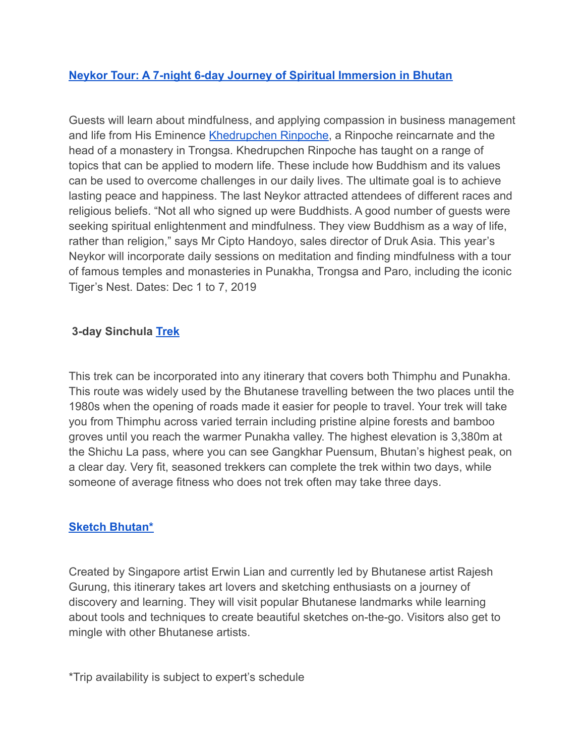# **[Neykor Tour: A 7-night 6-day Journey of Spiritual Immersion in Bhutan](https://neykor.com/)**

Guests will learn about mindfulness, and applying compassion in business management and life from His Eminence [Khedrupchen Rinpoche](https://neykor.com/khedrup-rinpoche), a Rinpoche reincarnate and the head of a monastery in Trongsa. Khedrupchen Rinpoche has taught on a range of topics that can be applied to modern life. These include how Buddhism and its values can be used to overcome challenges in our daily lives. The ultimate goal is to achieve lasting peace and happiness. The last Neykor attracted attendees of different races and religious beliefs. "Not all who signed up were Buddhists. A good number of guests were seeking spiritual enlightenment and mindfulness. They view Buddhism as a way of life, rather than religion," says Mr Cipto Handoyo, sales director of Druk Asia. This year's Neykor will incorporate daily sessions on meditation and finding mindfulness with a tour of famous temples and monasteries in Punakha, Trongsa and Paro, including the iconic Tiger's Nest. Dates: Dec 1 to 7, 2019

#### **3-day Sinchula [Trek](https://www.drukasia.com/bhutan-travel/trekking/)**

This trek can be incorporated into any itinerary that covers both Thimphu and Punakha. This route was widely used by the Bhutanese travelling between the two places until the 1980s when the opening of roads made it easier for people to travel. Your trek will take you from Thimphu across varied terrain including pristine alpine forests and bamboo groves until you reach the warmer Punakha valley. The highest elevation is 3,380m at the Shichu La pass, where you can see Gangkhar Puensum, Bhutan's highest peak, on a clear day. Very fit, seasoned trekkers can complete the trek within two days, while someone of average fitness who does not trek often may take three days.

#### **[Sketch Bhutan\\*](https://www.drukasia.com/bhutan-travel/bespoke/sketch-bhutan/)**

Created by Singapore artist Erwin Lian and currently led by Bhutanese artist Rajesh Gurung, this itinerary takes art lovers and sketching enthusiasts on a journey of discovery and learning. They will visit popular Bhutanese landmarks while learning about tools and techniques to create beautiful sketches on-the-go. Visitors also get to mingle with other Bhutanese artists.

\*Trip availability is subject to expert's schedule